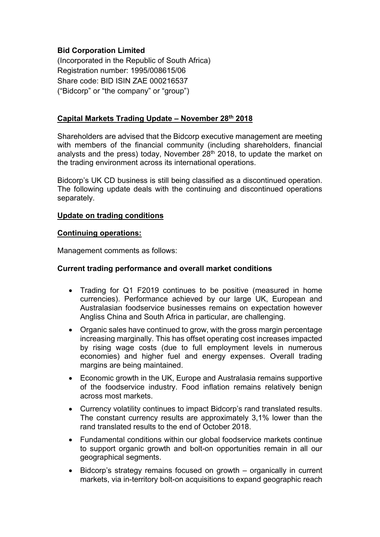## **Bid Corporation Limited**

(Incorporated in the Republic of South Africa) Registration number: 1995/008615/06 Share code: BID ISIN ZAE 000216537 ("Bidcorp" or "the company" or "group")

## **Capital Markets Trading Update – November 28th 2018**

Shareholders are advised that the Bidcorp executive management are meeting with members of the financial community (including shareholders, financial analysts and the press) today, November  $28<sup>th</sup>$  2018, to update the market on the trading environment across its international operations.

Bidcorp's UK CD business is still being classified as a discontinued operation. The following update deals with the continuing and discontinued operations separately.

### **Update on trading conditions**

#### **Continuing operations:**

Management comments as follows:

### **Current trading performance and overall market conditions**

- Trading for Q1 F2019 continues to be positive (measured in home currencies). Performance achieved by our large UK, European and Australasian foodservice businesses remains on expectation however Angliss China and South Africa in particular, are challenging.
- Organic sales have continued to grow, with the gross margin percentage increasing marginally. This has offset operating cost increases impacted by rising wage costs (due to full employment levels in numerous economies) and higher fuel and energy expenses. Overall trading margins are being maintained.
- Economic growth in the UK, Europe and Australasia remains supportive of the foodservice industry. Food inflation remains relatively benign across most markets.
- Currency volatility continues to impact Bidcorp's rand translated results. The constant currency results are approximately 3,1% lower than the rand translated results to the end of October 2018.
- Fundamental conditions within our global foodservice markets continue to support organic growth and bolt-on opportunities remain in all our geographical segments.
- Bidcorp's strategy remains focused on growth organically in current markets, via in-territory bolt-on acquisitions to expand geographic reach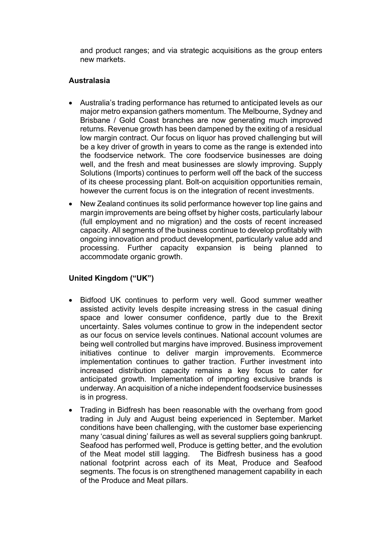and product ranges; and via strategic acquisitions as the group enters new markets.

### **Australasia**

- Australia's trading performance has returned to anticipated levels as our major metro expansion gathers momentum. The Melbourne, Sydney and Brisbane / Gold Coast branches are now generating much improved returns. Revenue growth has been dampened by the exiting of a residual low margin contract. Our focus on liquor has proved challenging but will be a key driver of growth in years to come as the range is extended into the foodservice network. The core foodservice businesses are doing well, and the fresh and meat businesses are slowly improving. Supply Solutions (Imports) continues to perform well off the back of the success of its cheese processing plant. Bolt-on acquisition opportunities remain, however the current focus is on the integration of recent investments.
- New Zealand continues its solid performance however top line gains and margin improvements are being offset by higher costs, particularly labour (full employment and no migration) and the costs of recent increased capacity. All segments of the business continue to develop profitably with ongoing innovation and product development, particularly value add and processing. Further capacity expansion is being planned to accommodate organic growth.

# **United Kingdom ("UK")**

- Bidfood UK continues to perform very well. Good summer weather assisted activity levels despite increasing stress in the casual dining space and lower consumer confidence, partly due to the Brexit uncertainty. Sales volumes continue to grow in the independent sector as our focus on service levels continues. National account volumes are being well controlled but margins have improved. Business improvement initiatives continue to deliver margin improvements. Ecommerce implementation continues to gather traction. Further investment into increased distribution capacity remains a key focus to cater for anticipated growth. Implementation of importing exclusive brands is underway. An acquisition of a niche independent foodservice businesses is in progress.
- Trading in Bidfresh has been reasonable with the overhang from good trading in July and August being experienced in September. Market conditions have been challenging, with the customer base experiencing many 'casual dining' failures as well as several suppliers going bankrupt. Seafood has performed well, Produce is getting better, and the evolution of the Meat model still lagging. The Bidfresh business has a good national footprint across each of its Meat, Produce and Seafood segments. The focus is on strengthened management capability in each of the Produce and Meat pillars.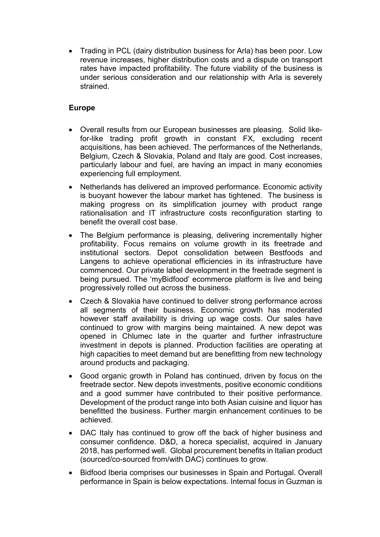• Trading in PCL (dairy distribution business for Arla) has been poor. Low revenue increases, higher distribution costs and a dispute on transport rates have impacted profitability. The future viability of the business is under serious consideration and our relationship with Arla is severely strained.

## **Europe**

- Overall results from our European businesses are pleasing. Solid likefor-like trading profit growth in constant FX, excluding recent acquisitions, has been achieved. The performances of the Netherlands, Belgium, Czech & Slovakia, Poland and Italy are good. Cost increases, particularly labour and fuel, are having an impact in many economies experiencing full employment.
- Netherlands has delivered an improved performance. Economic activity is buoyant however the labour market has tightened. The business is making progress on its simplification journey with product range rationalisation and IT infrastructure costs reconfiguration starting to benefit the overall cost base.
- The Belgium performance is pleasing, delivering incrementally higher profitability. Focus remains on volume growth in its freetrade and institutional sectors. Depot consolidation between Bestfoods and Langens to achieve operational efficiencies in its infrastructure have commenced. Our private label development in the freetrade segment is being pursued. The 'myBidfood' ecommerce platform is live and being progressively rolled out across the business.
- Czech & Slovakia have continued to deliver strong performance across all segments of their business. Economic growth has moderated however staff availability is driving up wage costs. Our sales have continued to grow with margins being maintained. A new depot was opened in Chlumec late in the quarter and further infrastructure investment in depots is planned. Production facilities are operating at high capacities to meet demand but are benefitting from new technology around products and packaging.
- Good organic growth in Poland has continued, driven by focus on the freetrade sector. New depots investments, positive economic conditions and a good summer have contributed to their positive performance. Development of the product range into both Asian cuisine and liquor has benefitted the business. Further margin enhancement continues to be achieved.
- DAC Italy has continued to grow off the back of higher business and consumer confidence. D&D, a horeca specialist, acquired in January 2018, has performed well. Global procurement benefits in Italian product (sourced/co-sourced from/with DAC) continues to grow.
- Bidfood Iberia comprises our businesses in Spain and Portugal. Overall performance in Spain is below expectations. Internal focus in Guzman is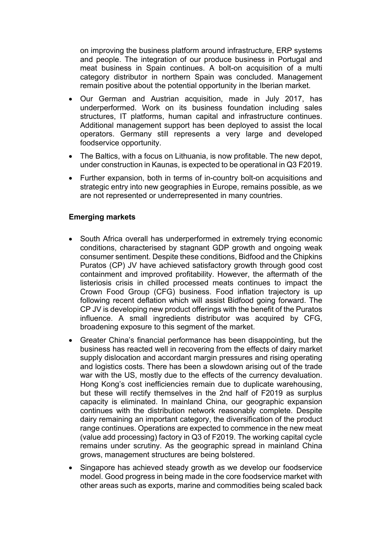on improving the business platform around infrastructure, ERP systems and people. The integration of our produce business in Portugal and meat business in Spain continues. A bolt-on acquisition of a multi category distributor in northern Spain was concluded. Management remain positive about the potential opportunity in the Iberian market.

- Our German and Austrian acquisition, made in July 2017, has underperformed. Work on its business foundation including sales structures, IT platforms, human capital and infrastructure continues. Additional management support has been deployed to assist the local operators. Germany still represents a very large and developed foodservice opportunity.
- The Baltics, with a focus on Lithuania, is now profitable. The new depot, under construction in Kaunas, is expected to be operational in Q3 F2019.
- Further expansion, both in terms of in-country bolt-on acquisitions and strategic entry into new geographies in Europe, remains possible, as we are not represented or underrepresented in many countries.

## **Emerging markets**

- South Africa overall has underperformed in extremely trying economic conditions, characterised by stagnant GDP growth and ongoing weak consumer sentiment. Despite these conditions, Bidfood and the Chipkins Puratos (CP) JV have achieved satisfactory growth through good cost containment and improved profitability. However, the aftermath of the listeriosis crisis in chilled processed meats continues to impact the Crown Food Group (CFG) business. Food inflation trajectory is up following recent deflation which will assist Bidfood going forward. The CP JV is developing new product offerings with the benefit of the Puratos influence. A small ingredients distributor was acquired by CFG, broadening exposure to this segment of the market.
- Greater China's financial performance has been disappointing, but the business has reacted well in recovering from the effects of dairy market supply dislocation and accordant margin pressures and rising operating and logistics costs. There has been a slowdown arising out of the trade war with the US, mostly due to the effects of the currency devaluation. Hong Kong's cost inefficiencies remain due to duplicate warehousing, but these will rectify themselves in the 2nd half of F2019 as surplus capacity is eliminated. In mainland China, our geographic expansion continues with the distribution network reasonably complete. Despite dairy remaining an important category, the diversification of the product range continues. Operations are expected to commence in the new meat (value add processing) factory in Q3 of F2019. The working capital cycle remains under scrutiny. As the geographic spread in mainland China grows, management structures are being bolstered.
- Singapore has achieved steady growth as we develop our foodservice model. Good progress in being made in the core foodservice market with other areas such as exports, marine and commodities being scaled back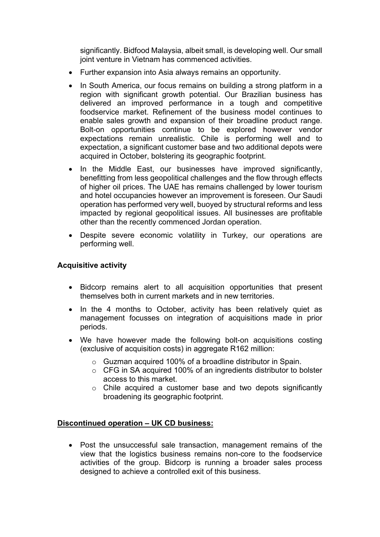significantly. Bidfood Malaysia, albeit small, is developing well. Our small joint venture in Vietnam has commenced activities.

- Further expansion into Asia always remains an opportunity.
- In South America, our focus remains on building a strong platform in a region with significant growth potential. Our Brazilian business has delivered an improved performance in a tough and competitive foodservice market. Refinement of the business model continues to enable sales growth and expansion of their broadline product range. Bolt-on opportunities continue to be explored however vendor expectations remain unrealistic. Chile is performing well and to expectation, a significant customer base and two additional depots were acquired in October, bolstering its geographic footprint.
- In the Middle East, our businesses have improved significantly, benefitting from less geopolitical challenges and the flow through effects of higher oil prices. The UAE has remains challenged by lower tourism and hotel occupancies however an improvement is foreseen. Our Saudi operation has performed very well, buoyed by structural reforms and less impacted by regional geopolitical issues. All businesses are profitable other than the recently commenced Jordan operation.
- Despite severe economic volatility in Turkey, our operations are performing well.

## **Acquisitive activity**

- Bidcorp remains alert to all acquisition opportunities that present themselves both in current markets and in new territories.
- In the 4 months to October, activity has been relatively quiet as management focusses on integration of acquisitions made in prior periods.
- We have however made the following bolt-on acquisitions costing (exclusive of acquisition costs) in aggregate R162 million:
	- o Guzman acquired 100% of a broadline distributor in Spain.
	- o CFG in SA acquired 100% of an ingredients distributor to bolster access to this market.
	- o Chile acquired a customer base and two depots significantly broadening its geographic footprint.

## **Discontinued operation – UK CD business:**

• Post the unsuccessful sale transaction, management remains of the view that the logistics business remains non-core to the foodservice activities of the group. Bidcorp is running a broader sales process designed to achieve a controlled exit of this business.